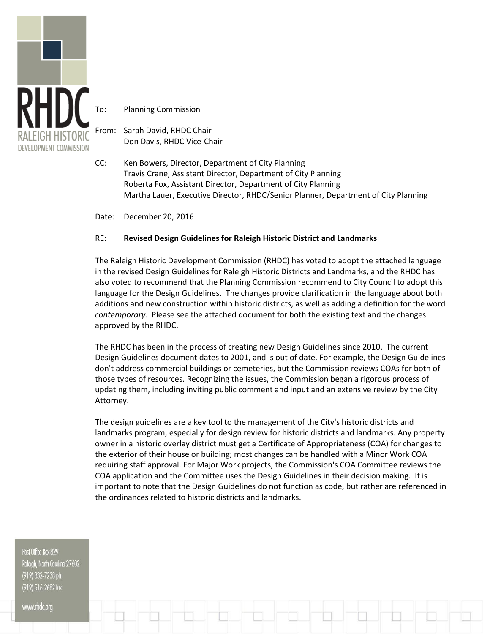

Planning Commission

From: Sarah David, RHDC Chair Don Davis, RHDC Vice-Chair

CC: Ken Bowers, Director, Department of City Planning Travis Crane, Assistant Director, Department of City Planning Roberta Fox, Assistant Director, Department of City Planning Martha Lauer, Executive Director, RHDC/Senior Planner, Department of City Planning

Date: December 20, 2016

#### RE: **Revised Design Guidelines for Raleigh Historic District and Landmarks**

The Raleigh Historic Development Commission (RHDC) has voted to adopt the attached language in the revised Design Guidelines for Raleigh Historic Districts and Landmarks, and the RHDC has also voted to recommend that the Planning Commission recommend to City Council to adopt this language for the Design Guidelines. The changes provide clarification in the language about both additions and new construction within historic districts, as well as adding a definition for the word *contemporary*. Please see the attached document for both the existing text and the changes approved by the RHDC.

The RHDC has been in the process of creating new Design Guidelines since 2010. The current Design Guidelines document dates to 2001, and is out of date. For example, the Design Guidelines don't address commercial buildings or cemeteries, but the Commission reviews COAs for both of those types of resources. Recognizing the issues, the Commission began a rigorous process of updating them, including inviting public comment and input and an extensive review by the City Attorney.

The design guidelines are a key tool to the management of the City's historic districts and landmarks program, especially for design review for historic districts and landmarks. Any property owner in a historic overlay district must get a Certificate of Appropriateness (COA) for changes to the exterior of their house or building; most changes can be handled with a Minor Work COA requiring staff approval. For Major Work projects, the Commission's COA Committee reviews the COA application and the Committee uses the Design Guidelines in their decision making. It is important to note that the Design Guidelines do not function as code, but rather are referenced in the ordinances related to historic districts and landmarks.

Post Office Box 829 Raleigh, North Carolina 27602 (919) 832-7238 ph (919) 516-2682 fax